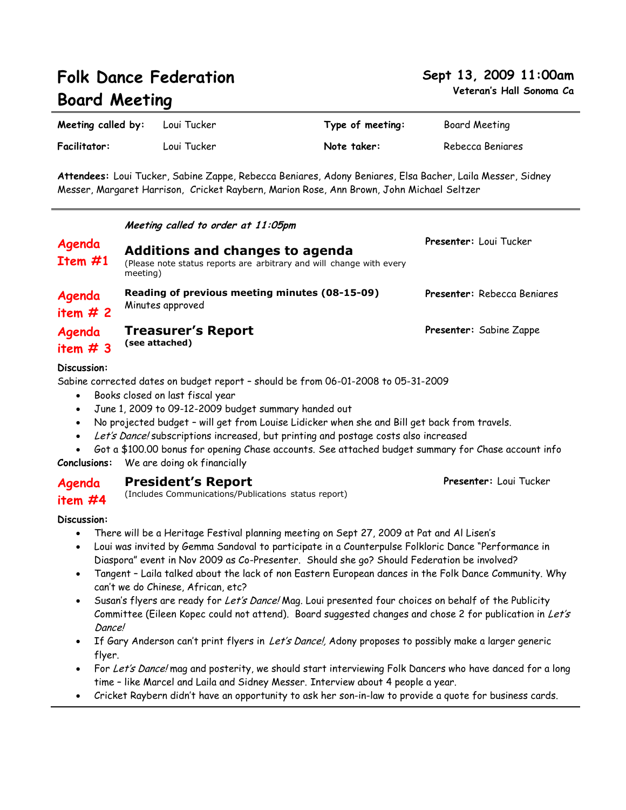| <b>Board Meeting</b> |                                                                                                                     | Veteran's Hall Sonoma              |                                                                                                                                                                                                        |                                    |  |
|----------------------|---------------------------------------------------------------------------------------------------------------------|------------------------------------|--------------------------------------------------------------------------------------------------------------------------------------------------------------------------------------------------------|------------------------------------|--|
| Meeting called by:   |                                                                                                                     | Loui Tucker                        | Type of meeting:                                                                                                                                                                                       | Board Meeting                      |  |
| Facilitator:         |                                                                                                                     | Loui Tucker                        | Note taker:                                                                                                                                                                                            | Rebecca Beniares                   |  |
|                      |                                                                                                                     |                                    | Attendees: Loui Tucker, Sabine Zappe, Rebecca Beniares, Adony Beniares, Elsa Bacher, Laila Messer, Sidney<br>Messer, Margaret Harrison,  Cricket Raybern, Marion Rose, Ann Brown, John Michael Seltzer |                                    |  |
|                      |                                                                                                                     | Meeting called to order at 11:05pm |                                                                                                                                                                                                        |                                    |  |
| Agenda<br>Item #1    | Additions and changes to agenda<br>(Please note status reports are arbitrary and will change with every<br>meeting) |                                    |                                                                                                                                                                                                        | <b>Presenter:</b> Loui Tucker      |  |
| Agenda<br>item $#2$  |                                                                                                                     | Minutes approved                   | Reading of previous meeting minutes (08-15-09)                                                                                                                                                         | <b>Presenter:</b> Rebecca Beniares |  |

**Agenda Treasurer's Report (see attached)**

**item # 3**

**Discussion:**

Sabine corrected dates on budget report – should be from 06-01-2008 to 05-31-2009

- Books closed on last fiscal year
- June 1, 2009 to 09-12-2009 budget summary handed out
- No projected budget will get from Louise Lidicker when she and Bill get back from travels.
- Let's Dance! subscriptions increased, but printing and postage costs also increased
- Got a \$100.00 bonus for opening Chase accounts. See attached budget summary for Chase account info **Conclusions:** We are doing ok financially
- **Agenda President's Report**
- **item #4** (Includes Communications/Publications status report)

### **Discussion:**

- There will be a Heritage Festival planning meeting on Sept 27, 2009 at Pat and Al Lisen's
- Loui was invited by Gemma Sandoval to participate in a Counterpulse Folkloric Dance "Performance in Diaspora" event in Nov 2009 as Co-Presenter. Should she go? Should Federation be involved?
- Tangent Laila talked about the lack of non Eastern European dances in the Folk Dance Community. Why can't we do Chinese, African, etc?
- Susan's flyers are ready for Let's Dance! Mag. Loui presented four choices on behalf of the Publicity Committee (Eileen Kopec could not attend). Board suggested changes and chose 2 for publication in Let's Dance!
- If Gary Anderson can't print flyers in Let's Dance!, Adony proposes to possibly make a larger generic flyer.
- For Let's Dance! mag and posterity, we should start interviewing Folk Dancers who have danced for a long time – like Marcel and Laila and Sidney Messer. Interview about 4 people a year.
- Cricket Raybern didn't have an opportunity to ask her son-in-law to provide a quote for business cards.

# **Folk Dance Federation**

# **Sept 13, 2009 11:00am**

**veta** Ca

**Presenter:** Loui Tucker

**Presenter:** Sabine Zappe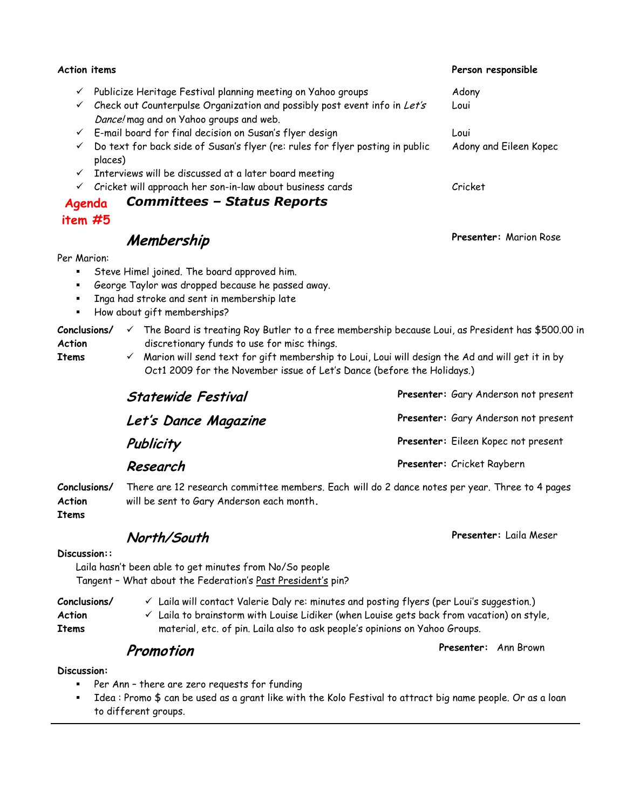| <b>Action items</b> |                                                                                                                                                                                                                                                                                                   | Person responsible     |
|---------------------|---------------------------------------------------------------------------------------------------------------------------------------------------------------------------------------------------------------------------------------------------------------------------------------------------|------------------------|
| ✓                   | Publicize Heritage Festival planning meeting on Yahoo groups                                                                                                                                                                                                                                      | Adony                  |
|                     | $\checkmark$ Check out Counterpulse Organization and possibly post event info in Let's<br>Dance! mag and on Yahoo groups and web.                                                                                                                                                                 | Loui                   |
|                     | $\checkmark$ E-mail board for final decision on Susan's flyer design                                                                                                                                                                                                                              | Loui                   |
|                     | Do text for back side of Susan's flyer (re: rules for flyer posting in public<br>places)                                                                                                                                                                                                          | Adony and Eileen Kopec |
| $\checkmark$        | Interviews will be discussed at a later board meeting                                                                                                                                                                                                                                             |                        |
| $\checkmark$        | Cricket will approach her son-in-law about business cards                                                                                                                                                                                                                                         | Cricket                |
| Agenda              | <b>Committees - Status Reports</b>                                                                                                                                                                                                                                                                |                        |
| item #5             |                                                                                                                                                                                                                                                                                                   |                        |
|                     | Membership                                                                                                                                                                                                                                                                                        | Presenter: Marion Rose |
| Per Marion:         |                                                                                                                                                                                                                                                                                                   |                        |
|                     | Steve Himel joined. The board approved him.                                                                                                                                                                                                                                                       |                        |
|                     | George Taylor was dropped because he passed away.                                                                                                                                                                                                                                                 |                        |
|                     | Inga had stroke and sent in membership late                                                                                                                                                                                                                                                       |                        |
|                     | How about gift memberships?                                                                                                                                                                                                                                                                       |                        |
| Action<br>Items     | <b>Conclusions/</b> $\checkmark$ The Board is treating Roy Butler to a free membership because Loui, as President has \$500.00 in<br>discretionary funds to use for misc things.<br>$\checkmark$ Marion will send text for gift membership to Loui, Loui will design the Ad and will get it in by |                        |

 Marion will send text for gift membership to Loui, Loui will design the Ad and will get it in by Oct1 2009 for the November issue of Let's Dance (before the Holidays.)

| <b>Statewide Festival</b> | Presenter: Gary Anderson not present |  |
|---------------------------|--------------------------------------|--|
| Let's Dance Magazine      | Presenter: Gary Anderson not present |  |
| Publicity                 | Presenter: Eileen Kopec not present  |  |
| Research                  | Presenter: Cricket Raybern           |  |

**Conclusions/ Action**  There are 12 research committee members. Each will do 2 dance notes per year. Three to 4 pages will be sent to Gary Anderson each month**.**

**Items**

# **North/South**

**Discussion::**

Laila hasn't been able to get minutes from No/So people Tangent – What about the Federation's Past President's pin?

**Conclusions/**  $\checkmark$  Laila will contact Valerie Daly re: minutes and posting flyers (per Loui's suggestion.)

 $\checkmark$  Laila to brainstorm with Louise Lidiker (when Louise gets back from vacation) on style, material, etc. of pin. Laila also to ask people's opinions on Yahoo Groups.

# **Promotion**

**Discussion:**

**Action Items**

- Per Ann there are zero requests for funding
- Idea : Promo \$ can be used as a grant like with the Kolo Festival to attract big name people. Or as a loan to different groups.

**Presenter:** Laila Meser

**Presenter:** Ann Brown